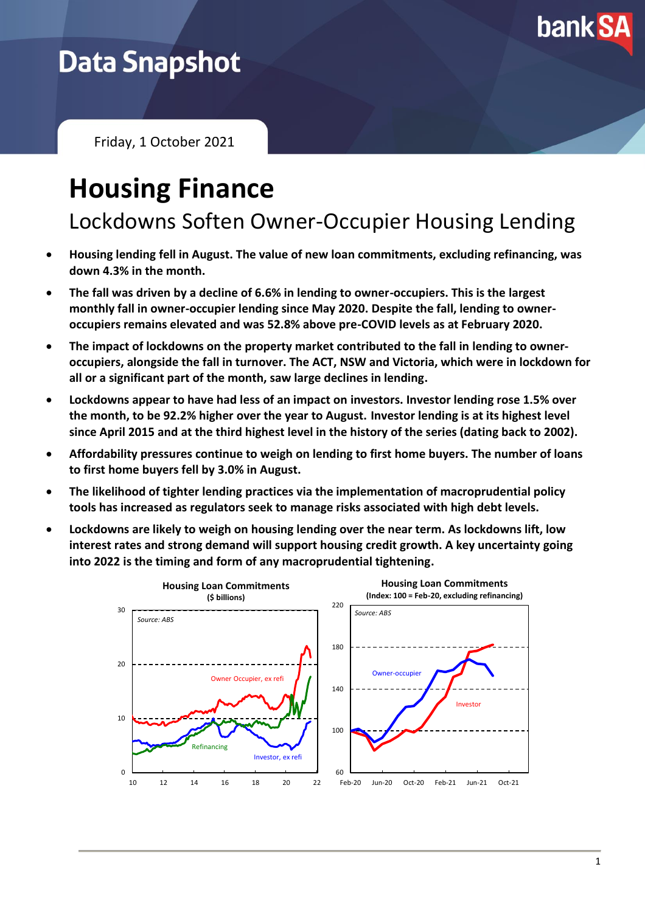

## **Data Snapshot**

Friday, 1 October 2021

# **Housing Finance**

Lockdowns Soften Owner-Occupier Housing Lending

- **Housing lending fell in August. The value of new loan commitments, excluding refinancing, was down 4.3% in the month.**
- **The fall was driven by a decline of 6.6% in lending to owner-occupiers. This is the largest monthly fall in owner-occupier lending since May 2020. Despite the fall, lending to owneroccupiers remains elevated and was 52.8% above pre-COVID levels as at February 2020.**
- **The impact of lockdowns on the property market contributed to the fall in lending to owneroccupiers, alongside the fall in turnover. The ACT, NSW and Victoria, which were in lockdown for all or a significant part of the month, saw large declines in lending.**
- **Lockdowns appear to have had less of an impact on investors. Investor lending rose 1.5% over the month, to be 92.2% higher over the year to August. Investor lending is at its highest level since April 2015 and at the third highest level in the history of the series (dating back to 2002).**
- **Affordability pressures continue to weigh on lending to first home buyers. The number of loans to first home buyers fell by 3.0% in August.**
- **The likelihood of tighter lending practices via the implementation of macroprudential policy tools has increased as regulators seek to manage risks associated with high debt levels.**
- **Lockdowns are likely to weigh on housing lending over the near term. As lockdowns lift, low interest rates and strong demand will support housing credit growth. A key uncertainty going into 2022 is the timing and form of any macroprudential tightening.**

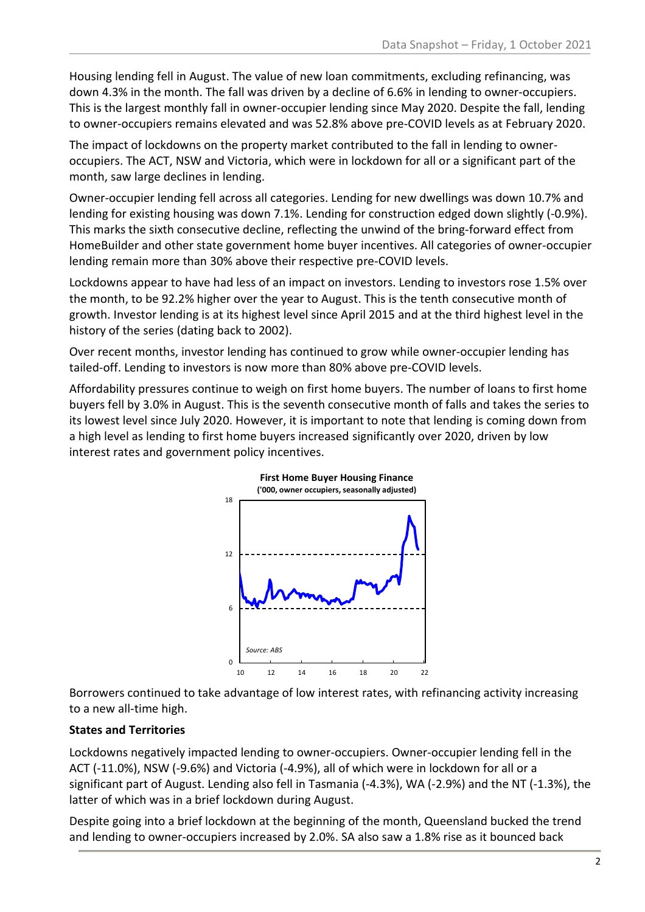Housing lending fell in August. The value of new loan commitments, excluding refinancing, was down 4.3% in the month. The fall was driven by a decline of 6.6% in lending to owner-occupiers. This is the largest monthly fall in owner-occupier lending since May 2020. Despite the fall, lending to owner-occupiers remains elevated and was 52.8% above pre-COVID levels as at February 2020.

The impact of lockdowns on the property market contributed to the fall in lending to owneroccupiers. The ACT, NSW and Victoria, which were in lockdown for all or a significant part of the month, saw large declines in lending.

Owner-occupier lending fell across all categories. Lending for new dwellings was down 10.7% and lending for existing housing was down 7.1%. Lending for construction edged down slightly (-0.9%). This marks the sixth consecutive decline, reflecting the unwind of the bring-forward effect from HomeBuilder and other state government home buyer incentives. All categories of owner-occupier lending remain more than 30% above their respective pre-COVID levels.

Lockdowns appear to have had less of an impact on investors. Lending to investors rose 1.5% over the month, to be 92.2% higher over the year to August. This is the tenth consecutive month of growth. Investor lending is at its highest level since April 2015 and at the third highest level in the history of the series (dating back to 2002).

Over recent months, investor lending has continued to grow while owner-occupier lending has tailed-off. Lending to investors is now more than 80% above pre-COVID levels.

Affordability pressures continue to weigh on first home buyers. The number of loans to first home buyers fell by 3.0% in August. This is the seventh consecutive month of falls and takes the series to its lowest level since July 2020. However, it is important to note that lending is coming down from a high level as lending to first home buyers increased significantly over 2020, driven by low interest rates and government policy incentives.



Borrowers continued to take advantage of low interest rates, with refinancing activity increasing to a new all-time high.

### **States and Territories**

Lockdowns negatively impacted lending to owner-occupiers. Owner-occupier lending fell in the ACT (-11.0%), NSW (-9.6%) and Victoria (-4.9%), all of which were in lockdown for all or a significant part of August. Lending also fell in Tasmania (-4.3%), WA (-2.9%) and the NT (-1.3%), the latter of which was in a brief lockdown during August.

Despite going into a brief lockdown at the beginning of the month, Queensland bucked the trend and lending to owner-occupiers increased by 2.0%. SA also saw a 1.8% rise as it bounced back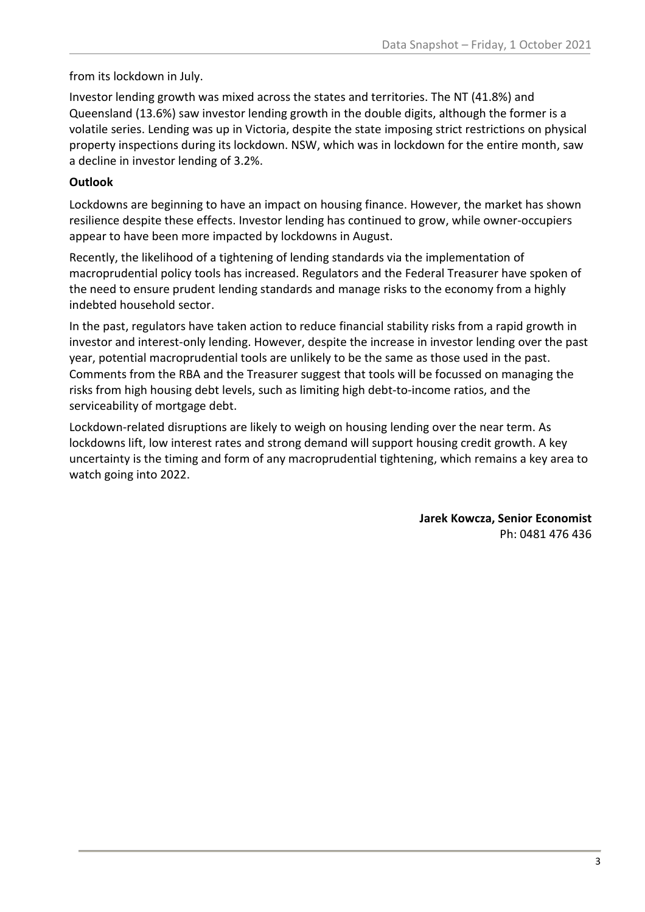### from its lockdown in July.

Investor lending growth was mixed across the states and territories. The NT (41.8%) and Queensland (13.6%) saw investor lending growth in the double digits, although the former is a volatile series. Lending was up in Victoria, despite the state imposing strict restrictions on physical property inspections during its lockdown. NSW, which was in lockdown for the entire month, saw a decline in investor lending of 3.2%.

### **Outlook**

Lockdowns are beginning to have an impact on housing finance. However, the market has shown resilience despite these effects. Investor lending has continued to grow, while owner-occupiers appear to have been more impacted by lockdowns in August.

Recently, the likelihood of a tightening of lending standards via the implementation of macroprudential policy tools has increased. Regulators and the Federal Treasurer have spoken of the need to ensure prudent lending standards and manage risks to the economy from a highly indebted household sector.

In the past, regulators have taken action to reduce financial stability risks from a rapid growth in investor and interest-only lending. However, despite the increase in investor lending over the past year, potential macroprudential tools are unlikely to be the same as those used in the past. Comments from the RBA and the Treasurer suggest that tools will be focussed on managing the risks from high housing debt levels, such as limiting high debt-to-income ratios, and the serviceability of mortgage debt.

Lockdown-related disruptions are likely to weigh on housing lending over the near term. As lockdowns lift, low interest rates and strong demand will support housing credit growth. A key uncertainty is the timing and form of any macroprudential tightening, which remains a key area to watch going into 2022.

> **Jarek Kowcza, Senior Economist** Ph: 0481 476 436